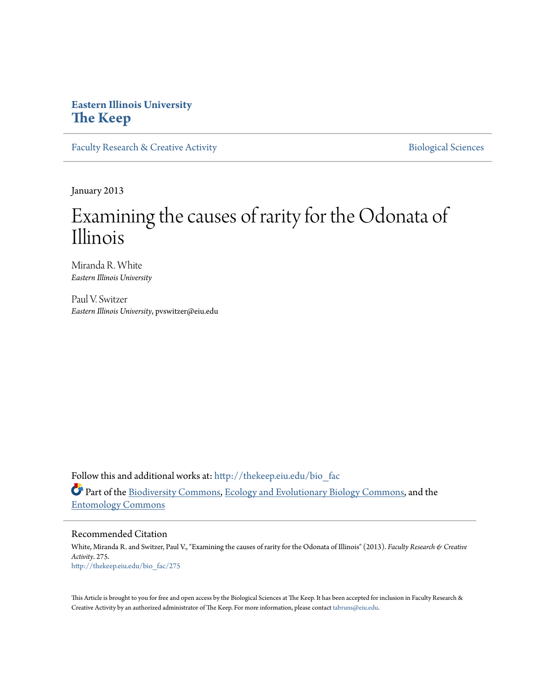# **Eastern Illinois University [The Keep](http://thekeep.eiu.edu?utm_source=thekeep.eiu.edu%2Fbio_fac%2F275&utm_medium=PDF&utm_campaign=PDFCoverPages)**

[Faculty Research & Creative Activity](http://thekeep.eiu.edu/bio_fac?utm_source=thekeep.eiu.edu%2Fbio_fac%2F275&utm_medium=PDF&utm_campaign=PDFCoverPages) **[Biological Sciences](http://thekeep.eiu.edu/bio?utm_source=thekeep.eiu.edu%2Fbio_fac%2F275&utm_medium=PDF&utm_campaign=PDFCoverPages)** Biological Sciences

January 2013

# Examining the causes of rarity for the Odonata of Illinois

Miranda R. White *Eastern Illinois University*

Paul V. Switzer *Eastern Illinois University*, pvswitzer@eiu.edu

Follow this and additional works at: [http://thekeep.eiu.edu/bio\\_fac](http://thekeep.eiu.edu/bio_fac?utm_source=thekeep.eiu.edu%2Fbio_fac%2F275&utm_medium=PDF&utm_campaign=PDFCoverPages) Part of the [Biodiversity Commons](http://network.bepress.com/hgg/discipline/1127?utm_source=thekeep.eiu.edu%2Fbio_fac%2F275&utm_medium=PDF&utm_campaign=PDFCoverPages), [Ecology and Evolutionary Biology Commons](http://network.bepress.com/hgg/discipline/14?utm_source=thekeep.eiu.edu%2Fbio_fac%2F275&utm_medium=PDF&utm_campaign=PDFCoverPages), and the [Entomology Commons](http://network.bepress.com/hgg/discipline/83?utm_source=thekeep.eiu.edu%2Fbio_fac%2F275&utm_medium=PDF&utm_campaign=PDFCoverPages)

# Recommended Citation

White, Miranda R. and Switzer, Paul V., "Examining the causes of rarity for the Odonata of Illinois" (2013). *Faculty Research & Creative Activity*. 275. [http://thekeep.eiu.edu/bio\\_fac/275](http://thekeep.eiu.edu/bio_fac/275?utm_source=thekeep.eiu.edu%2Fbio_fac%2F275&utm_medium=PDF&utm_campaign=PDFCoverPages)

This Article is brought to you for free and open access by the Biological Sciences at The Keep. It has been accepted for inclusion in Faculty Research & Creative Activity by an authorized administrator of The Keep. For more information, please contact [tabruns@eiu.edu.](mailto:tabruns@eiu.edu)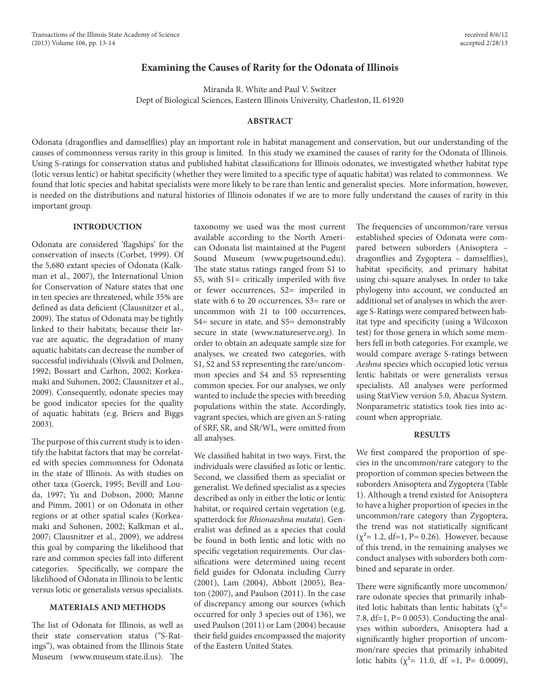# **Examining the Causes of Rarity for the Odonata of Illinois**

Miranda R. White and Paul V. Switzer Dept of Biological Sciences, Eastern Illinois University, Charleston, IL 61920

## **ABSTRACT**

Odonata (dragonflies and damselflies) play an important role in habitat management and conservation, but our understanding of the causes of commonness versus rarity in this group is limited. In this study we examined the causes of rarity for the Odonata of Illinois. Using S-ratings for conservation status and published habitat classifications for Illinois odonates, we investigated whether habitat type (lotic versus lentic) or habitat specificity (whether they were limited to a specific type of aquatic habitat) was related to commonness. We found that lotic species and habitat specialists were more likely to be rare than lentic and generalist species. More information, however, is needed on the distributions and natural histories of Illinois odonates if we are to more fully understand the causes of rarity in this important group.

# **INTRODUCTION**

Odonata are considered 'flagships' for the conservation of insects (Corbet, 1999). Of the 5,680 extant species of Odonata (Kalkman et al., 2007), the International Union for Conservation of Nature states that one in ten species are threatened, while 35% are defined as data deficient (Clausnitzer et al., 2009). The status of Odonata may be tightly linked to their habitats; because their larvae are aquatic, the degradation of many aquatic habitats can decrease the number of successful individuals (Olsvik and Dolmen, 1992; Bossart and Carlton, 2002; Korkeamaki and Suhonen, 2002; Clausnitzer et al., 2009). Consequently, odonate species may be good indicator species for the quality of aquatic habitats (e.g. Briers and Biggs 2003).

The purpose of this current study is to identify the habitat factors that may be correlated with species commonness for Odonata in the state of Illinois. As with studies on other taxa (Goerck, 1995; Bevill and Louda, 1997; Yu and Dobson, 2000; Manne and Pimm, 2001) or on Odonata in other regions or at other spatial scales (Korkeamaki and Suhonen, 2002; Kalkman et al., 2007; Clausnitzer et al., 2009), we address this goal by comparing the likelihood that rare and common species fall into different categories. Specifically, we compare the likelihood of Odonata in Illinois to be lentic versus lotic or generalists versus specialists.

#### **MATERIALS AND METHODS**

The list of Odonata for Illinois, as well as their state conservation status ("S-Ratings"), was obtained from the Illinois State Museum (www.museum.state.il.us). The

taxonomy we used was the most current available according to the North American Odonata list maintained at the Pugent Sound Museum (www.pugetsound.edu). The state status ratings ranged from S1 to S5, with S1= critically imperiled with five or fewer occurrences, S2= imperiled in state with 6 to 20 occurrences, S3= rare or uncommon with 21 to 100 occurrences, S4= secure in state, and S5= demonstrably secure in state (www.natureserve.org). In order to obtain an adequate sample size for analyses, we created two categories, with S1, S2 and S3 representing the rare/uncommon species and S4 and S5 representing common species. For our analyses, we only wanted to include the species with breeding populations within the state. Accordingly, vagrant species, which are given an S-rating of SRF, SR, and SR/WL, were omitted from all analyses.

We classified habitat in two ways. First, the individuals were classified as lotic or lentic. Second, we classified them as specialist or generalist. We defined specialist as a species described as only in either the lotic or lentic habitat, or required certain vegetation (e.g. spatterdock for *Rhionaeshna mutata*). Generalist was defined as a species that could be found in both lentic and lotic with no specific vegetation requirements. Our classifications were determined using recent field guides for Odonata including Curry (2001), Lam (2004), Abbott (2005), Beaton (2007), and Paulson (2011). In the case of discrepancy among our sources (which occurred for only 3 species out of 136), we used Paulson (2011) or Lam (2004) because their field guides encompassed the majority of the Eastern United States.

The frequencies of uncommon/rare versus established species of Odonata were compared between suborders (Anisoptera – dragonflies and Zygoptera – damselflies), habitat specificity, and primary habitat using chi-square analyses. In order to take phylogeny into account, we conducted an additional set of analyses in which the average S-Ratings were compared between habitat type and specificity (using a Wilcoxon test) for those genera in which some members fell in both categories. For example, we would compare average S-ratings between *Aeshna* species which occupied lotic versus lentic habitats or were generalists versus specialists. All analyses were performed using StatView version 5.0, Abacus System. Nonparametric statistics took ties into account when appropriate.

#### **RESULTS**

We first compared the proportion of species in the uncommon/rare category to the proportion of common species between the suborders Anisoptera and Zygoptera (Table 1). Although a trend existed for Anisoptera to have a higher proportion of species in the uncommon/rare category than Zygoptera, the trend was not statistically significant  $(\chi^2 = 1.2, df = 1, P = 0.26)$ . However, because of this trend, in the remaining analyses we conduct analyses with suborders both combined and separate in order.

There were significantly more uncommon/ rare odonate species that primarily inhabited lotic habitats than lentic habitats ( $\chi^2$ = 7.8, df=1, P= 0.0053). Conducting the analyses within suborders, Anisoptera had a significantly higher proportion of uncommon/rare species that primarily inhabited lotic habits ( $\chi^2$ = 11.0, df =1, P= 0.0009),